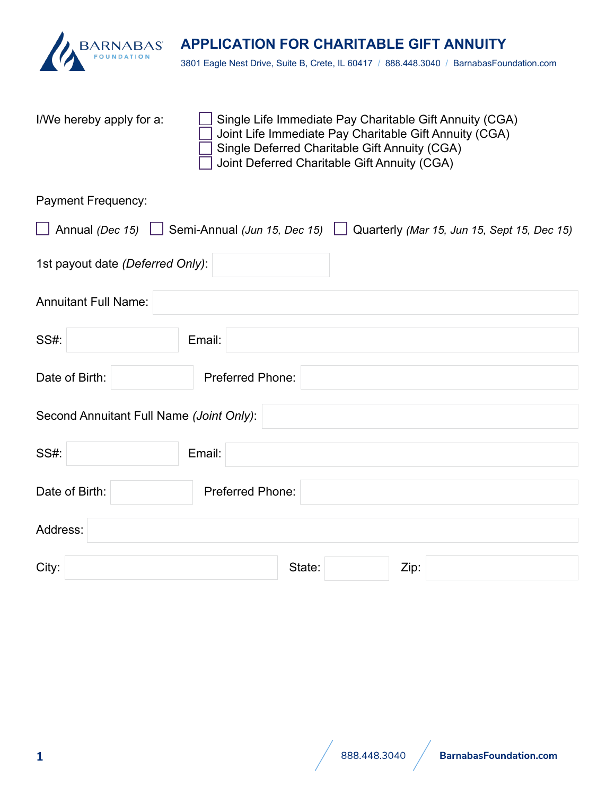

3801 Eagle Nest Drive, Suite B, Crete, IL 60417 / 888.448.3040 / BarnabasFoundation.com

I/We hereby apply for a:  $\Box$  Single Life Immediate Pay Charitable Gift Annuity (CGA) Joint Life Immediate Pay Charitable Gift Annuity (CGA) Single Deferred Charitable Gift Annuity (CGA) Joint Deferred Charitable Gift Annuity (CGA)

Payment Frequency:

| $\Box$                                   | Annual (Dec 15) $\Box$ Semi-Annual (Jun 15, Dec 15) $\Box$ Quarterly (Mar 15, Jun 15, Sept 15, Dec 15) |
|------------------------------------------|--------------------------------------------------------------------------------------------------------|
| 1st payout date (Deferred Only):         |                                                                                                        |
| <b>Annuitant Full Name:</b>              |                                                                                                        |
| <b>SS#:</b>                              | Email:                                                                                                 |
| Date of Birth:                           | Preferred Phone:                                                                                       |
| Second Annuitant Full Name (Joint Only): |                                                                                                        |
| SS#:                                     | Email:                                                                                                 |
| Date of Birth:                           | Preferred Phone:                                                                                       |
| Address:                                 |                                                                                                        |
| City:                                    | State:<br>Zip:                                                                                         |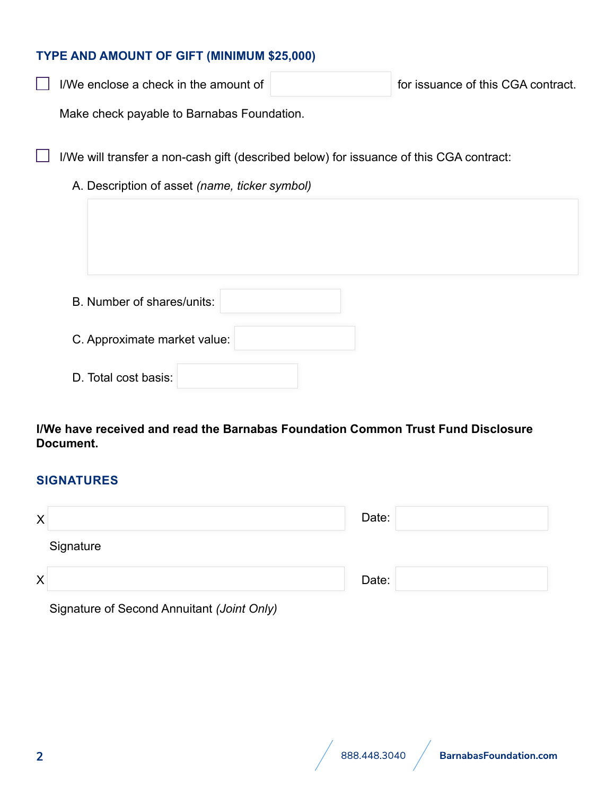## **TYPE AND AMOUNT OF GIFT (MINIMUM \$25,000)**

| I/We enclose a check in the amount of | for issuance of this CGA contract. |
|---------------------------------------|------------------------------------|
|                                       |                                    |

Make check payable to Barnabas Foundation.

 $\Box$  I/We will transfer a non-cash gift (described below) for issuance of this CGA contract:

## A. Description of asset *(name, ticker symbol)*

| B. Number of shares/units:   |  |
|------------------------------|--|
| C. Approximate market value: |  |
| D. Total cost basis:         |  |

## **I/We have received and read the Barnabas Foundation Common Trust Fund Disclosure Document.**

#### **SIGNATURES**

| X         | Date: |  |
|-----------|-------|--|
| Signature |       |  |
| X         | Date: |  |

| Signature of Second Annuitant (Joint Only) |  |  |
|--------------------------------------------|--|--|
|--------------------------------------------|--|--|